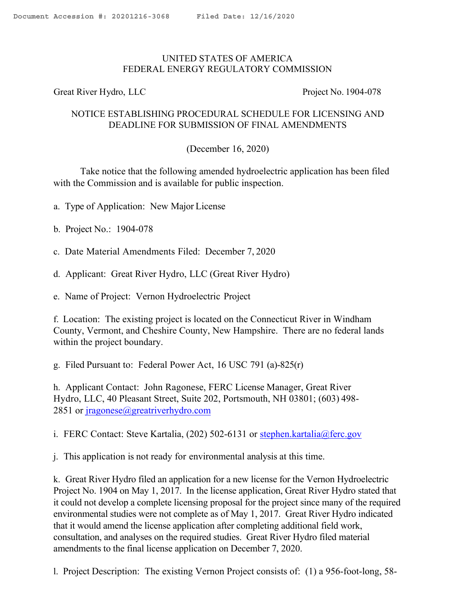## UNITED STATES OF AMERICA FEDERAL ENERGY REGULATORY COMMISSION

Great River Hydro, LLC Project No. 1904-078

## NOTICE ESTABLISHING PROCEDURAL SCHEDULE FOR LICENSING AND DEADLINE FOR SUBMISSION OF FINAL AMENDMENTS

## (December 16, 2020)

Take notice that the following amended hydroelectric application has been filed with the Commission and is available for public inspection.

- a. Type of Application: New Major License
- b. Project No.: 1904-078
- c. Date Material Amendments Filed: December 7, 2020
- d. Applicant: Great River Hydro, LLC (Great River Hydro)
- e. Name of Project: Vernon Hydroelectric Project

f. Location: The existing project is located on the Connecticut River in Windham County, Vermont, and Cheshire County, New Hampshire. There are no federal lands within the project boundary.

g. Filed Pursuant to: Federal Power Act, 16 USC 791 (a)-825(r)

h. Applicant Contact: John Ragonese, FERC License Manager, Great River Hydro, LLC, 40 Pleasant Street, Suite 202, Portsmouth, NH 03801; (603) 498- 2851 or jragonese@greatriverhydro.com

i. FERC Contact: Steve Kartalia,  $(202)$  502-6131 or stephen.kartalia@ferc.gov

j. This application is not ready for environmental analysis at this time.

k. Great River Hydro filed an application for a new license for the Vernon Hydroelectric Project No. 1904 on May 1, 2017. In the license application, Great River Hydro stated that it could not develop a complete licensing proposal for the project since many of the required environmental studies were not complete as of May 1, 2017. Great River Hydro indicated that it would amend the license application after completing additional field work, consultation, and analyses on the required studies. Great River Hydro filed material amendments to the final license application on December 7, 2020.

l. Project Description: The existing Vernon Project consists of: (1) a 956-foot-long, 58-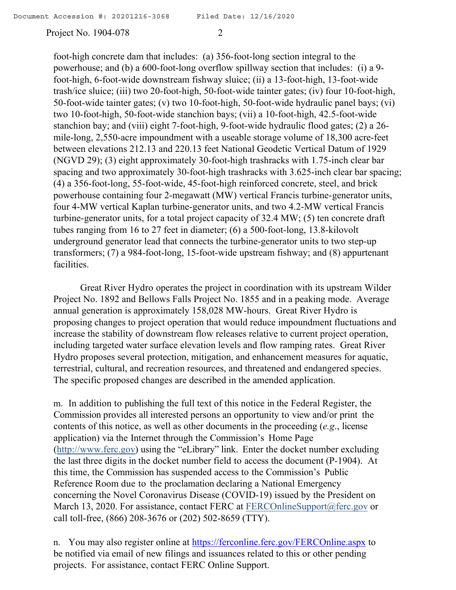Project No. 1904-078 2

foot-high concrete dam that includes: (a) 356-foot-long section integral to the powerhouse; and (b) a 600-foot-long overflow spillway section that includes: (i) a 9 foot-high, 6-foot-wide downstream fishway sluice; (ii) a 13-foot-high, 13-foot-wide trash/ice sluice; (iii) two 20-foot-high, 50-foot-wide tainter gates; (iv) four 10-foot-high, 50-foot-wide tainter gates; (v) two 10-foot-high, 50-foot-wide hydraulic panel bays; (vi) two 10-foot-high, 50-foot-wide stanchion bays; (vii) a 10-foot-high, 42.5-foot-wide stanchion bay; and (viii) eight 7-foot-high, 9-foot-wide hydraulic flood gates; (2) a 26 mile-long, 2,550-acre impoundment with a useable storage volume of 18,300 acre-feet between elevations 212.13 and 220.13 feet National Geodetic Vertical Datum of 1929 (NGVD 29); (3) eight approximately 30-foot-high trashracks with 1.75-inch clear bar spacing and two approximately 30-foot-high trashracks with 3.625-inch clear bar spacing; (4) a 356-foot-long, 55-foot-wide, 45-foot-high reinforced concrete, steel, and brick powerhouse containing four 2-megawatt (MW) vertical Francis turbine-generator units, four 4-MW vertical Kaplan turbine-generator units, and two 4.2-MW vertical Francis turbine-generator units, for a total project capacity of 32.4 MW; (5) ten concrete draft tubes ranging from 16 to 27 feet in diameter; (6) a 500-foot-long, 13.8-kilovolt underground generator lead that connects the turbine-generator units to two step-up transformers; (7) a 984-foot-long, 15-foot-wide upstream fishway; and (8) appurtenant facilities.

Great River Hydro operates the project in coordination with its upstream Wilder Project No. 1892 and Bellows Falls Project No. 1855 and in a peaking mode. Average annual generation is approximately 158,028 MW-hours. Great River Hydro is proposing changes to project operation that would reduce impoundment fluctuations and increase the stability of downstream flow releases relative to current project operation, including targeted water surface elevation levels and flow ramping rates. Great River Hydro proposes several protection, mitigation, and enhancement measures for aquatic, terrestrial, cultural, and recreation resources, and threatened and endangered species. The specific proposed changes are described in the amended application.

m. In addition to publishing the full text of this notice in the Federal Register, the Commission provides all interested persons an opportunity to view and/or print the contents of this notice, as well as other documents in the proceeding (*e.g*., license application) via the Internet through the Commission's Home Page (http://www.ferc.gov) using the "eLibrary" link. Enter the docket number excluding the last three digits in the docket number field to access the document (P-1904). At this time, the Commission has suspended access to the Commission's Public Reference Room due to the proclamation declaring a National Emergency concerning the Novel Coronavirus Disease (COVID-19) issued by the President on March 13, 2020. For assistance, contact FERC at FERCOnlineSupport@ferc.gov or call toll-free, (866) 208-3676 or (202) 502-8659 (TTY).

n. You may also register online at https://ferconline.ferc.gov/FERCOnline.aspx to be notified via email of new filings and issuances related to this or other pending projects. For assistance, contact FERC Online Support.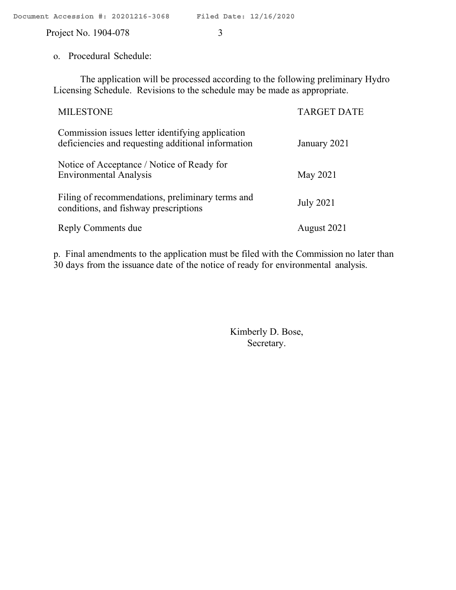Project No. 1904-078 3

o. Procedural Schedule:

The application will be processed according to the following preliminary Hydro Licensing Schedule. Revisions to the schedule may be made as appropriate.

| <b>MILESTONE</b>                                                                                       | <b>TARGET DATE</b> |
|--------------------------------------------------------------------------------------------------------|--------------------|
| Commission issues letter identifying application<br>deficiencies and requesting additional information | January 2021       |
| Notice of Acceptance / Notice of Ready for<br><b>Environmental Analysis</b>                            | May 2021           |
| Filing of recommendations, preliminary terms and<br>conditions, and fishway prescriptions              | <b>July 2021</b>   |
| Reply Comments due                                                                                     | August 2021        |

p. Final amendments to the application must be filed with the Commission no later than 30 days from the issuance date of the notice of ready for environmental analysis.

> Kimberly D. Bose, Secretary.